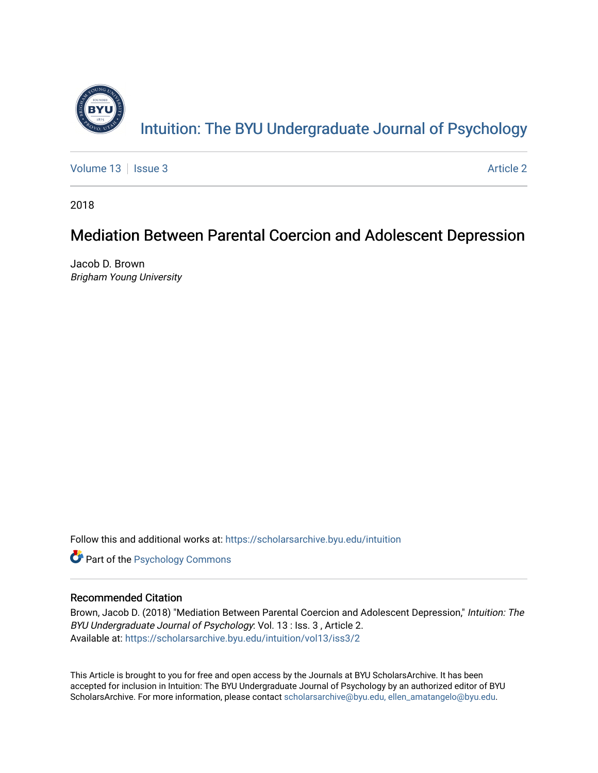

[Volume 13](https://scholarsarchive.byu.edu/intuition/vol13) | [Issue 3](https://scholarsarchive.byu.edu/intuition/vol13/iss3) Article 2

2018

# Mediation Between Parental Coercion and Adolescent Depression

Jacob D. Brown Brigham Young University

Follow this and additional works at: [https://scholarsarchive.byu.edu/intuition](https://scholarsarchive.byu.edu/intuition?utm_source=scholarsarchive.byu.edu%2Fintuition%2Fvol13%2Fiss3%2F2&utm_medium=PDF&utm_campaign=PDFCoverPages) 

**Part of the Psychology Commons** 

# Recommended Citation

Brown, Jacob D. (2018) "Mediation Between Parental Coercion and Adolescent Depression," Intuition: The BYU Undergraduate Journal of Psychology: Vol. 13 : Iss. 3 , Article 2. Available at: [https://scholarsarchive.byu.edu/intuition/vol13/iss3/2](https://scholarsarchive.byu.edu/intuition/vol13/iss3/2?utm_source=scholarsarchive.byu.edu%2Fintuition%2Fvol13%2Fiss3%2F2&utm_medium=PDF&utm_campaign=PDFCoverPages) 

This Article is brought to you for free and open access by the Journals at BYU ScholarsArchive. It has been accepted for inclusion in Intuition: The BYU Undergraduate Journal of Psychology by an authorized editor of BYU ScholarsArchive. For more information, please contact [scholarsarchive@byu.edu, ellen\\_amatangelo@byu.edu.](mailto:scholarsarchive@byu.edu,%20ellen_amatangelo@byu.edu)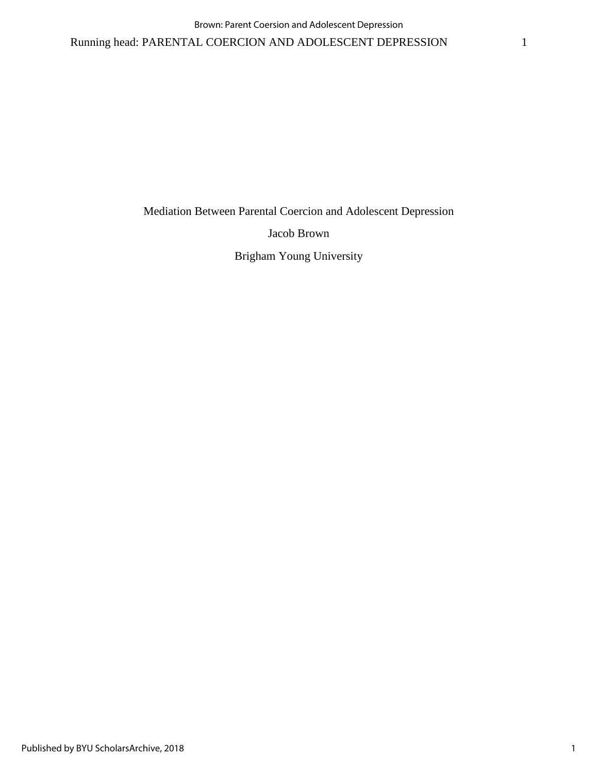Mediation Between Parental Coercion and Adolescent Depression

Jacob Brown

Brigham Young University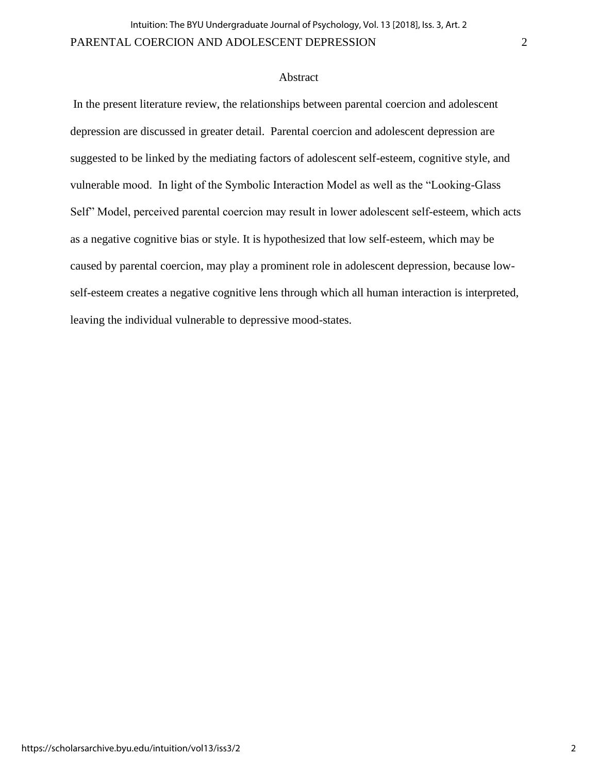### Abstract

In the present literature review, the relationships between parental coercion and adolescent depression are discussed in greater detail. Parental coercion and adolescent depression are suggested to be linked by the mediating factors of adolescent self-esteem, cognitive style, and vulnerable mood. In light of the Symbolic Interaction Model as well as the "Looking-Glass Self" Model, perceived parental coercion may result in lower adolescent self-esteem, which acts as a negative cognitive bias or style. It is hypothesized that low self-esteem, which may be caused by parental coercion, may play a prominent role in adolescent depression, because lowself-esteem creates a negative cognitive lens through which all human interaction is interpreted, leaving the individual vulnerable to depressive mood-states.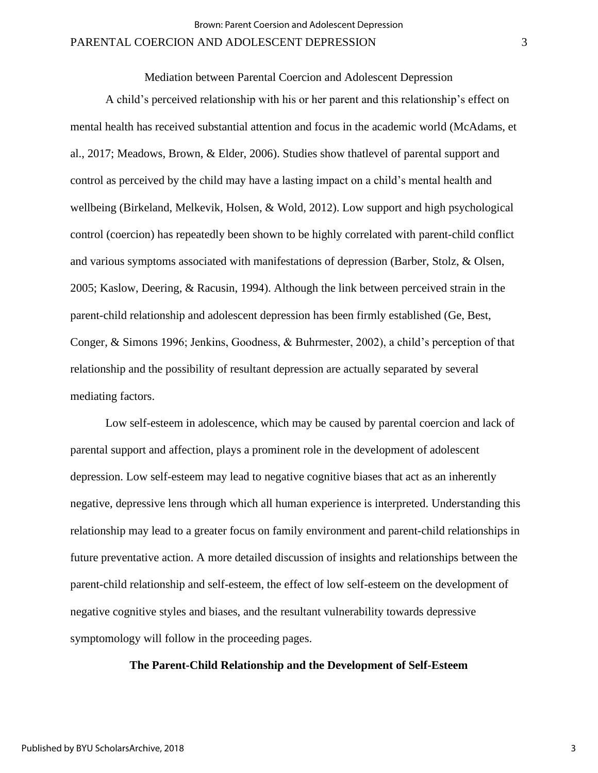Mediation between Parental Coercion and Adolescent Depression

A child's perceived relationship with his or her parent and this relationship's effect on mental health has received substantial attention and focus in the academic world (McAdams, et al., 2017; Meadows, Brown, & Elder, 2006). Studies show thatlevel of parental support and control as perceived by the child may have a lasting impact on a child's mental health and wellbeing (Birkeland, Melkevik, Holsen, & Wold, 2012). Low support and high psychological control (coercion) has repeatedly been shown to be highly correlated with parent-child conflict and various symptoms associated with manifestations of depression (Barber, Stolz, & Olsen, 2005; Kaslow, Deering, & Racusin, 1994). Although the link between perceived strain in the parent-child relationship and adolescent depression has been firmly established (Ge, Best, Conger, & Simons 1996; Jenkins, Goodness, & Buhrmester, 2002), a child's perception of that relationship and the possibility of resultant depression are actually separated by several mediating factors.

Low self-esteem in adolescence, which may be caused by parental coercion and lack of parental support and affection, plays a prominent role in the development of adolescent depression. Low self-esteem may lead to negative cognitive biases that act as an inherently negative, depressive lens through which all human experience is interpreted. Understanding this relationship may lead to a greater focus on family environment and parent-child relationships in future preventative action. A more detailed discussion of insights and relationships between the parent-child relationship and self-esteem, the effect of low self-esteem on the development of negative cognitive styles and biases, and the resultant vulnerability towards depressive symptomology will follow in the proceeding pages.

### **The Parent-Child Relationship and the Development of Self-Esteem**

3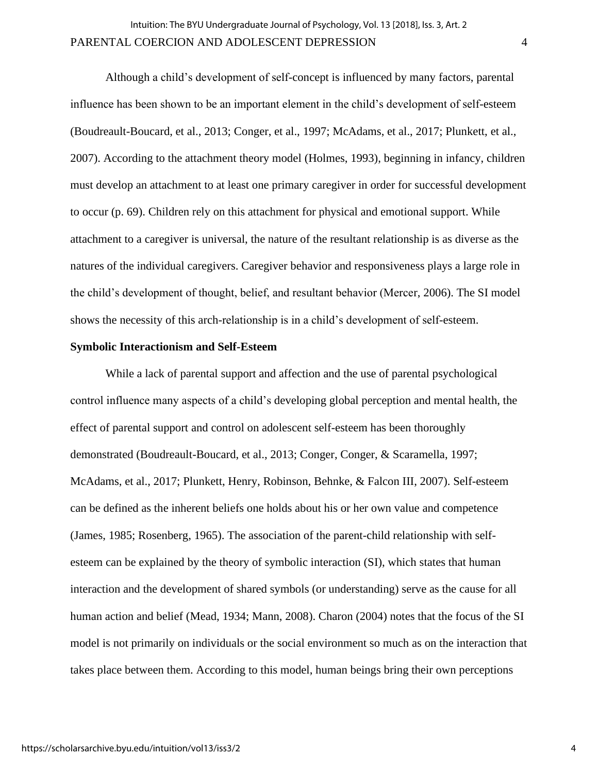Although a child's development of self-concept is influenced by many factors, parental influence has been shown to be an important element in the child's development of self-esteem (Boudreault-Boucard, et al., 2013; Conger, et al., 1997; McAdams, et al., 2017; Plunkett, et al., 2007). According to the attachment theory model (Holmes, 1993), beginning in infancy, children must develop an attachment to at least one primary caregiver in order for successful development to occur (p. 69). Children rely on this attachment for physical and emotional support. While attachment to a caregiver is universal, the nature of the resultant relationship is as diverse as the natures of the individual caregivers. Caregiver behavior and responsiveness plays a large role in the child's development of thought, belief, and resultant behavior (Mercer, 2006). The SI model shows the necessity of this arch-relationship is in a child's development of self-esteem.

### **Symbolic Interactionism and Self-Esteem**

While a lack of parental support and affection and the use of parental psychological control influence many aspects of a child's developing global perception and mental health, the effect of parental support and control on adolescent self-esteem has been thoroughly demonstrated (Boudreault-Boucard, et al., 2013; Conger, Conger, & Scaramella, 1997; McAdams, et al., 2017; Plunkett, Henry, Robinson, Behnke, & Falcon III, 2007). Self-esteem can be defined as the inherent beliefs one holds about his or her own value and competence (James, 1985; Rosenberg, 1965). The association of the parent-child relationship with selfesteem can be explained by the theory of symbolic interaction (SI), which states that human interaction and the development of shared symbols (or understanding) serve as the cause for all human action and belief (Mead, 1934; Mann, 2008). Charon (2004) notes that the focus of the SI model is not primarily on individuals or the social environment so much as on the interaction that takes place between them. According to this model, human beings bring their own perceptions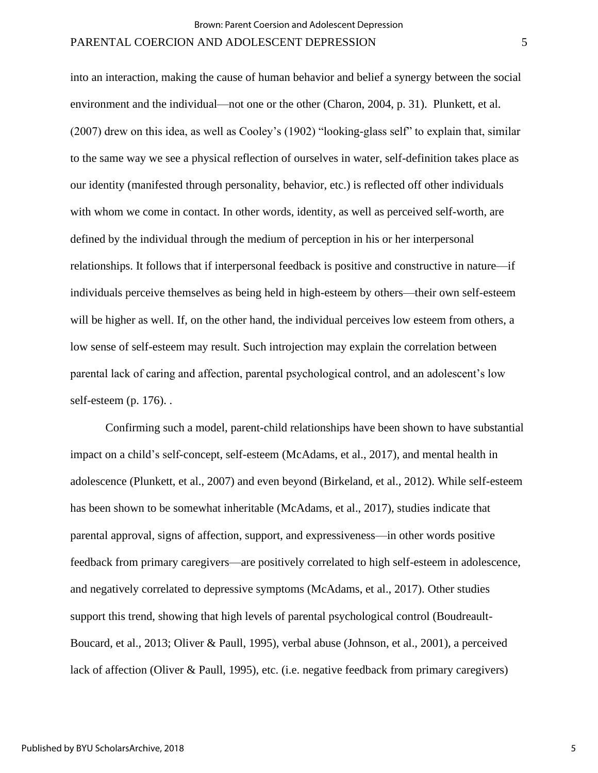into an interaction, making the cause of human behavior and belief a synergy between the social environment and the individual—not one or the other (Charon, 2004, p. 31). Plunkett, et al. (2007) drew on this idea, as well as Cooley's (1902) "looking-glass self" to explain that, similar to the same way we see a physical reflection of ourselves in water, self-definition takes place as our identity (manifested through personality, behavior, etc.) is reflected off other individuals with whom we come in contact. In other words, identity, as well as perceived self-worth, are defined by the individual through the medium of perception in his or her interpersonal relationships. It follows that if interpersonal feedback is positive and constructive in nature—if individuals perceive themselves as being held in high-esteem by others—their own self-esteem will be higher as well. If, on the other hand, the individual perceives low esteem from others, a low sense of self-esteem may result. Such introjection may explain the correlation between parental lack of caring and affection, parental psychological control, and an adolescent's low self-esteem (p. 176). .

Confirming such a model, parent-child relationships have been shown to have substantial impact on a child's self-concept, self-esteem (McAdams, et al., 2017), and mental health in adolescence (Plunkett, et al., 2007) and even beyond (Birkeland, et al., 2012). While self-esteem has been shown to be somewhat inheritable (McAdams, et al., 2017), studies indicate that parental approval, signs of affection, support, and expressiveness—in other words positive feedback from primary caregivers—are positively correlated to high self-esteem in adolescence, and negatively correlated to depressive symptoms (McAdams, et al., 2017). Other studies support this trend, showing that high levels of parental psychological control (Boudreault-Boucard, et al., 2013; Oliver & Paull, 1995), verbal abuse (Johnson, et al., 2001), a perceived lack of affection (Oliver & Paull, 1995), etc. (i.e. negative feedback from primary caregivers)

5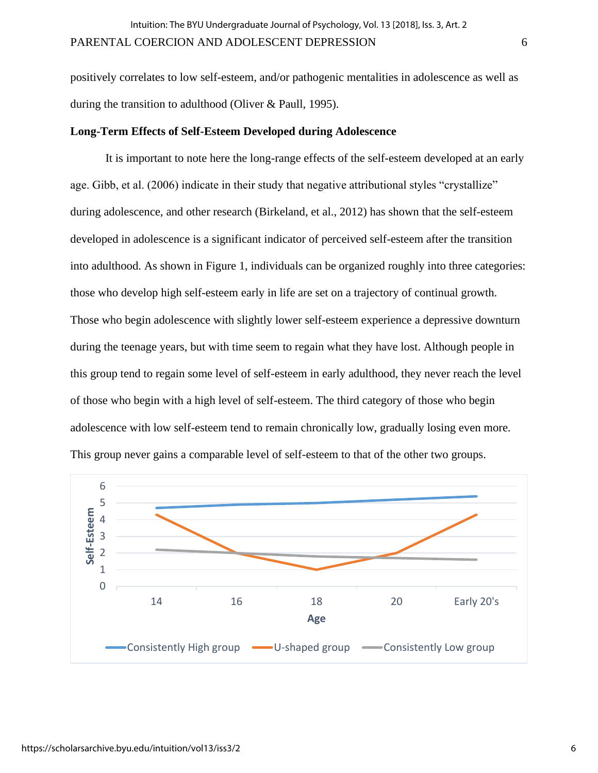positively correlates to low self-esteem, and/or pathogenic mentalities in adolescence as well as during the transition to adulthood (Oliver & Paull, 1995).

### **Long-Term Effects of Self-Esteem Developed during Adolescence**

It is important to note here the long-range effects of the self-esteem developed at an early age. Gibb, et al. (2006) indicate in their study that negative attributional styles "crystallize" during adolescence, and other research (Birkeland, et al., 2012) has shown that the self-esteem developed in adolescence is a significant indicator of perceived self-esteem after the transition into adulthood. As shown in Figure 1, individuals can be organized roughly into three categories: those who develop high self-esteem early in life are set on a trajectory of continual growth. Those who begin adolescence with slightly lower self-esteem experience a depressive downturn during the teenage years, but with time seem to regain what they have lost. Although people in this group tend to regain some level of self-esteem in early adulthood, they never reach the level of those who begin with a high level of self-esteem. The third category of those who begin adolescence with low self-esteem tend to remain chronically low, gradually losing even more. This group never gains a comparable level of self-esteem to that of the other two groups.

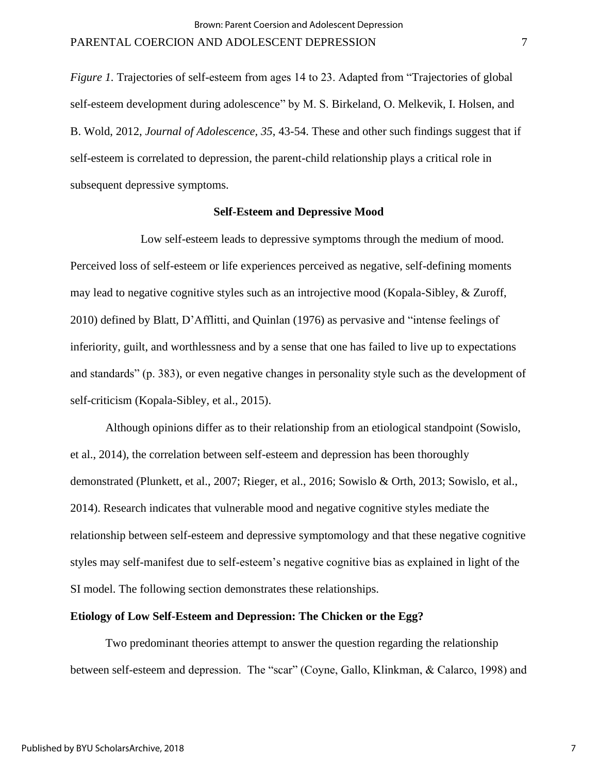*Figure 1.* Trajectories of self-esteem from ages 14 to 23. Adapted from "Trajectories of global self-esteem development during adolescence" by M. S. Birkeland, O. Melkevik, I. Holsen, and B. Wold, 2012, *Journal of Adolescence, 35*, 43-54. These and other such findings suggest that if self-esteem is correlated to depression, the parent-child relationship plays a critical role in subsequent depressive symptoms.

### **Self-Esteem and Depressive Mood**

Low self-esteem leads to depressive symptoms through the medium of mood. Perceived loss of self-esteem or life experiences perceived as negative, self-defining moments may lead to negative cognitive styles such as an introjective mood (Kopala-Sibley, & Zuroff, 2010) defined by Blatt, D'Afflitti, and Quinlan (1976) as pervasive and "intense feelings of inferiority, guilt, and worthlessness and by a sense that one has failed to live up to expectations and standards" (p. 383), or even negative changes in personality style such as the development of self-criticism (Kopala-Sibley, et al., 2015).

Although opinions differ as to their relationship from an etiological standpoint (Sowislo, et al., 2014), the correlation between self-esteem and depression has been thoroughly demonstrated (Plunkett, et al., 2007; Rieger, et al., 2016; Sowislo & Orth, 2013; Sowislo, et al., 2014). Research indicates that vulnerable mood and negative cognitive styles mediate the relationship between self-esteem and depressive symptomology and that these negative cognitive styles may self-manifest due to self-esteem's negative cognitive bias as explained in light of the SI model. The following section demonstrates these relationships.

#### **Etiology of Low Self-Esteem and Depression: The Chicken or the Egg?**

Two predominant theories attempt to answer the question regarding the relationship between self-esteem and depression. The "scar" (Coyne, Gallo, Klinkman, & Calarco, 1998) and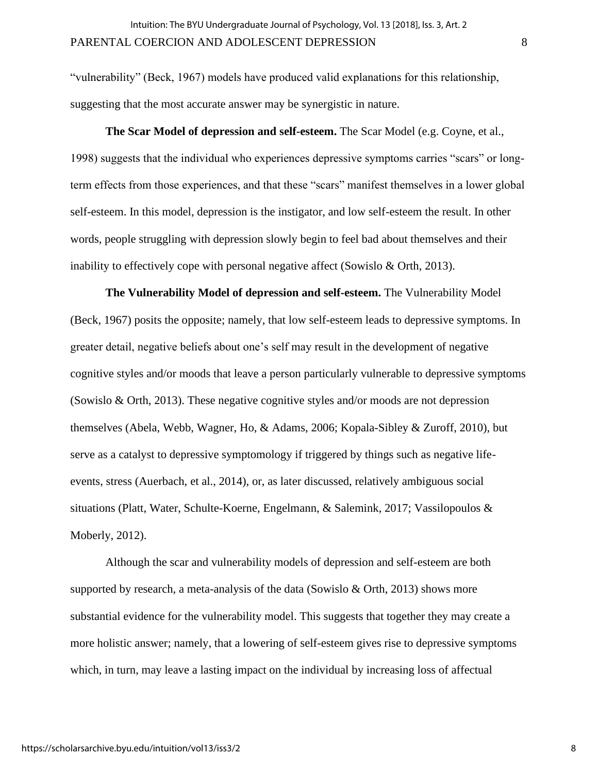"vulnerability" (Beck, 1967) models have produced valid explanations for this relationship, suggesting that the most accurate answer may be synergistic in nature.

**The Scar Model of depression and self-esteem.** The Scar Model (e.g. Coyne, et al., 1998) suggests that the individual who experiences depressive symptoms carries "scars" or longterm effects from those experiences, and that these "scars" manifest themselves in a lower global self-esteem. In this model, depression is the instigator, and low self-esteem the result. In other words, people struggling with depression slowly begin to feel bad about themselves and their inability to effectively cope with personal negative affect (Sowislo & Orth, 2013).

**The Vulnerability Model of depression and self-esteem.** The Vulnerability Model (Beck, 1967) posits the opposite; namely, that low self-esteem leads to depressive symptoms. In greater detail, negative beliefs about one's self may result in the development of negative cognitive styles and/or moods that leave a person particularly vulnerable to depressive symptoms (Sowislo & Orth, 2013). These negative cognitive styles and/or moods are not depression themselves (Abela, Webb, Wagner, Ho, & Adams, 2006; Kopala-Sibley & Zuroff, 2010), but serve as a catalyst to depressive symptomology if triggered by things such as negative lifeevents, stress (Auerbach, et al., 2014), or, as later discussed, relatively ambiguous social situations (Platt, Water, Schulte-Koerne, Engelmann, & Salemink, 2017; Vassilopoulos & Moberly, 2012).

Although the scar and vulnerability models of depression and self-esteem are both supported by research, a meta-analysis of the data (Sowislo & Orth, 2013) shows more substantial evidence for the vulnerability model. This suggests that together they may create a more holistic answer; namely, that a lowering of self-esteem gives rise to depressive symptoms which, in turn, may leave a lasting impact on the individual by increasing loss of affectual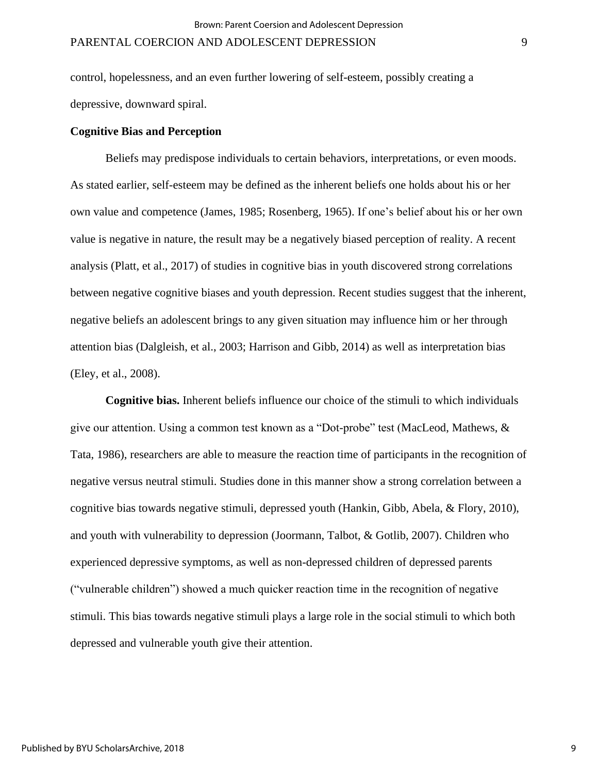control, hopelessness, and an even further lowering of self-esteem, possibly creating a depressive, downward spiral.

### **Cognitive Bias and Perception**

Beliefs may predispose individuals to certain behaviors, interpretations, or even moods. As stated earlier, self-esteem may be defined as the inherent beliefs one holds about his or her own value and competence (James, 1985; Rosenberg, 1965). If one's belief about his or her own value is negative in nature, the result may be a negatively biased perception of reality. A recent analysis (Platt, et al., 2017) of studies in cognitive bias in youth discovered strong correlations between negative cognitive biases and youth depression. Recent studies suggest that the inherent, negative beliefs an adolescent brings to any given situation may influence him or her through attention bias (Dalgleish, et al., 2003; Harrison and Gibb, 2014) as well as interpretation bias (Eley, et al., 2008).

**Cognitive bias.** Inherent beliefs influence our choice of the stimuli to which individuals give our attention. Using a common test known as a "Dot-probe" test (MacLeod, Mathews, & Tata, 1986), researchers are able to measure the reaction time of participants in the recognition of negative versus neutral stimuli. Studies done in this manner show a strong correlation between a cognitive bias towards negative stimuli, depressed youth (Hankin, Gibb, Abela, & Flory, 2010), and youth with vulnerability to depression (Joormann, Talbot, & Gotlib, 2007). Children who experienced depressive symptoms, as well as non-depressed children of depressed parents ("vulnerable children") showed a much quicker reaction time in the recognition of negative stimuli. This bias towards negative stimuli plays a large role in the social stimuli to which both depressed and vulnerable youth give their attention.

9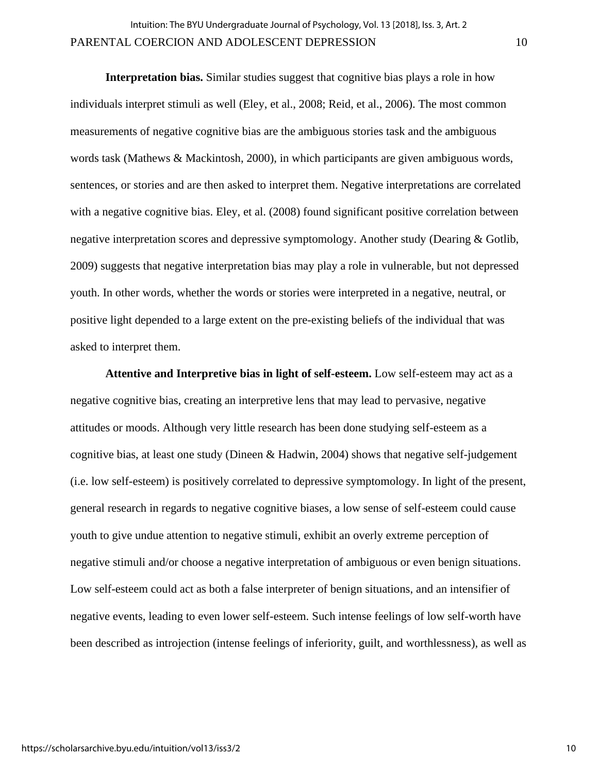**Interpretation bias.** Similar studies suggest that cognitive bias plays a role in how individuals interpret stimuli as well (Eley, et al., 2008; Reid, et al., 2006). The most common measurements of negative cognitive bias are the ambiguous stories task and the ambiguous words task (Mathews & Mackintosh, 2000), in which participants are given ambiguous words, sentences, or stories and are then asked to interpret them. Negative interpretations are correlated with a negative cognitive bias. Eley, et al. (2008) found significant positive correlation between negative interpretation scores and depressive symptomology. Another study (Dearing & Gotlib, 2009) suggests that negative interpretation bias may play a role in vulnerable, but not depressed youth. In other words, whether the words or stories were interpreted in a negative, neutral, or positive light depended to a large extent on the pre-existing beliefs of the individual that was asked to interpret them.

**Attentive and Interpretive bias in light of self-esteem.** Low self-esteem may act as a negative cognitive bias, creating an interpretive lens that may lead to pervasive, negative attitudes or moods. Although very little research has been done studying self-esteem as a cognitive bias, at least one study (Dineen & Hadwin, 2004) shows that negative self-judgement (i.e. low self-esteem) is positively correlated to depressive symptomology. In light of the present, general research in regards to negative cognitive biases, a low sense of self-esteem could cause youth to give undue attention to negative stimuli, exhibit an overly extreme perception of negative stimuli and/or choose a negative interpretation of ambiguous or even benign situations. Low self-esteem could act as both a false interpreter of benign situations, and an intensifier of negative events, leading to even lower self-esteem. Such intense feelings of low self-worth have been described as introjection (intense feelings of inferiority, guilt, and worthlessness), as well as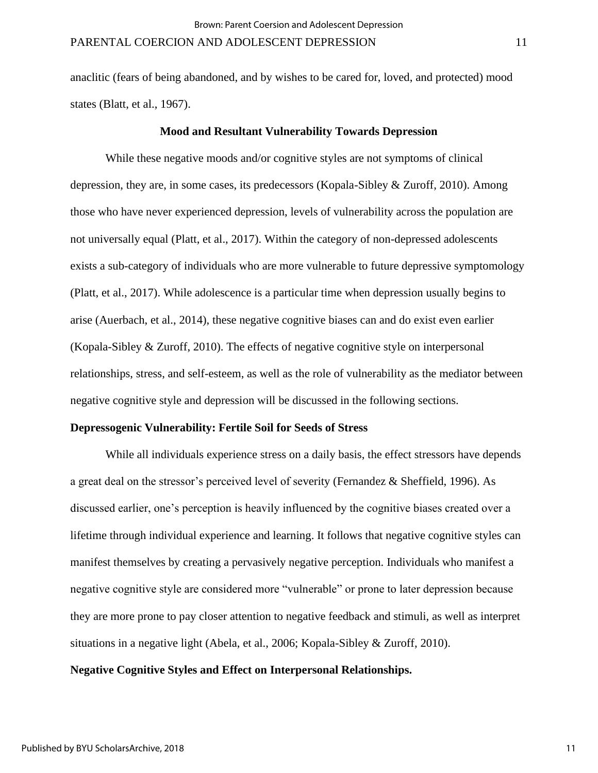anaclitic (fears of being abandoned, and by wishes to be cared for, loved, and protected) mood states (Blatt, et al., 1967).

### **Mood and Resultant Vulnerability Towards Depression**

While these negative moods and/or cognitive styles are not symptoms of clinical depression, they are, in some cases, its predecessors (Kopala-Sibley & Zuroff, 2010). Among those who have never experienced depression, levels of vulnerability across the population are not universally equal (Platt, et al., 2017). Within the category of non-depressed adolescents exists a sub-category of individuals who are more vulnerable to future depressive symptomology (Platt, et al., 2017). While adolescence is a particular time when depression usually begins to arise (Auerbach, et al., 2014), these negative cognitive biases can and do exist even earlier (Kopala-Sibley & Zuroff, 2010). The effects of negative cognitive style on interpersonal relationships, stress, and self-esteem, as well as the role of vulnerability as the mediator between negative cognitive style and depression will be discussed in the following sections.

### **Depressogenic Vulnerability: Fertile Soil for Seeds of Stress**

While all individuals experience stress on a daily basis, the effect stressors have depends a great deal on the stressor's perceived level of severity (Fernandez & Sheffield, 1996). As discussed earlier, one's perception is heavily influenced by the cognitive biases created over a lifetime through individual experience and learning. It follows that negative cognitive styles can manifest themselves by creating a pervasively negative perception. Individuals who manifest a negative cognitive style are considered more "vulnerable" or prone to later depression because they are more prone to pay closer attention to negative feedback and stimuli, as well as interpret situations in a negative light (Abela, et al., 2006; Kopala-Sibley & Zuroff, 2010).

# **Negative Cognitive Styles and Effect on Interpersonal Relationships.**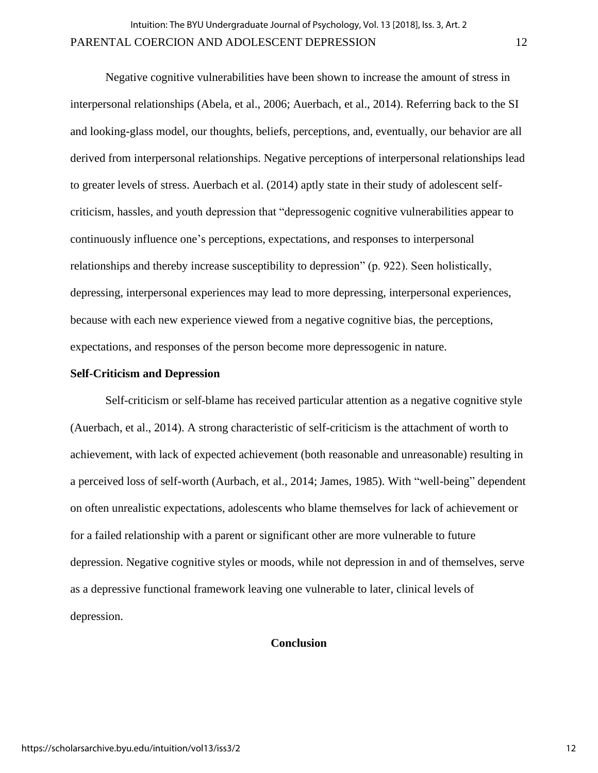Negative cognitive vulnerabilities have been shown to increase the amount of stress in interpersonal relationships (Abela, et al., 2006; Auerbach, et al., 2014). Referring back to the SI and looking-glass model, our thoughts, beliefs, perceptions, and, eventually, our behavior are all derived from interpersonal relationships. Negative perceptions of interpersonal relationships lead to greater levels of stress. Auerbach et al. (2014) aptly state in their study of adolescent selfcriticism, hassles, and youth depression that "depressogenic cognitive vulnerabilities appear to continuously influence one's perceptions, expectations, and responses to interpersonal relationships and thereby increase susceptibility to depression" (p. 922). Seen holistically, depressing, interpersonal experiences may lead to more depressing, interpersonal experiences, because with each new experience viewed from a negative cognitive bias, the perceptions, expectations, and responses of the person become more depressogenic in nature.

### **Self-Criticism and Depression**

Self-criticism or self-blame has received particular attention as a negative cognitive style (Auerbach, et al., 2014). A strong characteristic of self-criticism is the attachment of worth to achievement, with lack of expected achievement (both reasonable and unreasonable) resulting in a perceived loss of self-worth (Aurbach, et al., 2014; James, 1985). With "well-being" dependent on often unrealistic expectations, adolescents who blame themselves for lack of achievement or for a failed relationship with a parent or significant other are more vulnerable to future depression. Negative cognitive styles or moods, while not depression in and of themselves, serve as a depressive functional framework leaving one vulnerable to later, clinical levels of depression.

# **Conclusion**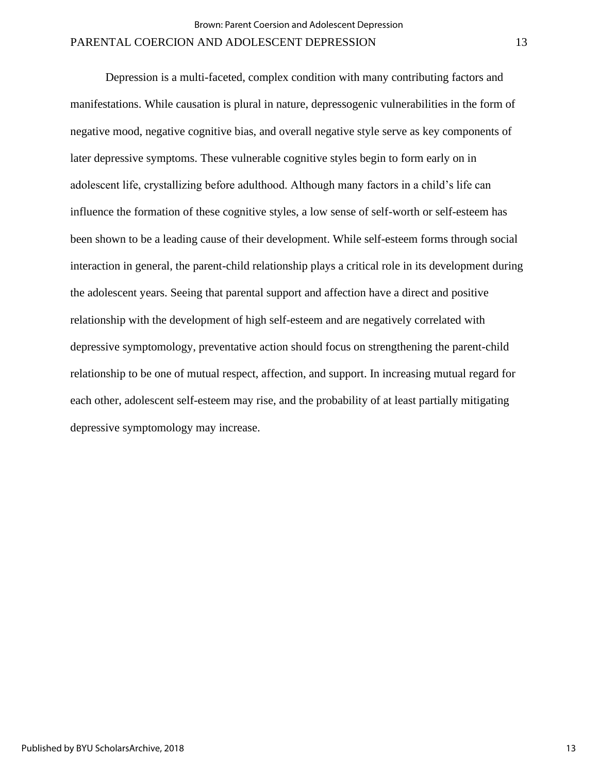Depression is a multi-faceted, complex condition with many contributing factors and manifestations. While causation is plural in nature, depressogenic vulnerabilities in the form of negative mood, negative cognitive bias, and overall negative style serve as key components of later depressive symptoms. These vulnerable cognitive styles begin to form early on in adolescent life, crystallizing before adulthood. Although many factors in a child's life can influence the formation of these cognitive styles, a low sense of self-worth or self-esteem has been shown to be a leading cause of their development. While self-esteem forms through social interaction in general, the parent-child relationship plays a critical role in its development during the adolescent years. Seeing that parental support and affection have a direct and positive relationship with the development of high self-esteem and are negatively correlated with depressive symptomology, preventative action should focus on strengthening the parent-child relationship to be one of mutual respect, affection, and support. In increasing mutual regard for each other, adolescent self-esteem may rise, and the probability of at least partially mitigating depressive symptomology may increase.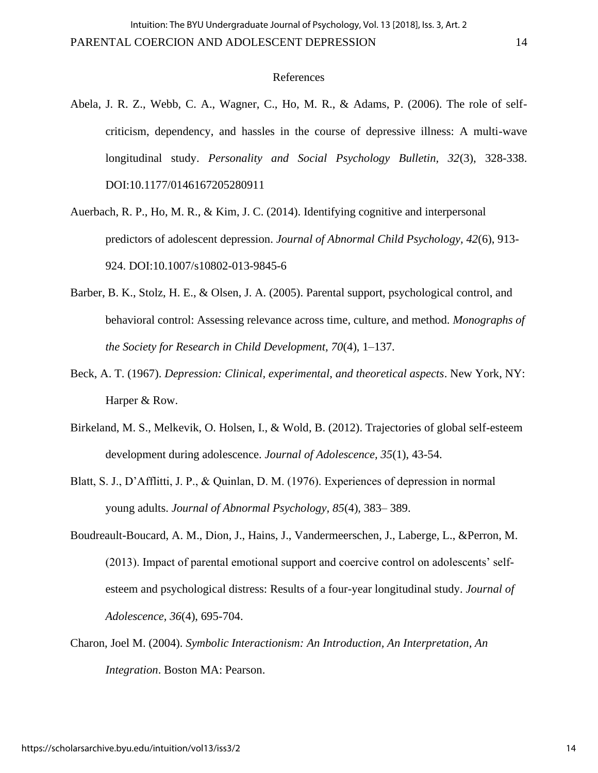### References

- Abela, J. R. Z., Webb, C. A., Wagner, C., Ho, M. R., & Adams, P. (2006). The role of selfcriticism, dependency, and hassles in the course of depressive illness: A multi-wave longitudinal study. *Personality and Social Psychology Bulletin, 32*(3), 328-338. DOI:10.1177/0146167205280911
- Auerbach, R. P., Ho, M. R., & Kim, J. C. (2014). Identifying cognitive and interpersonal predictors of adolescent depression. *Journal of Abnormal Child Psychology, 42*(6), 913- 924. DOI:10.1007/s10802-013-9845-6
- Barber, B. K., Stolz, H. E., & Olsen, J. A. (2005). Parental support, psychological control, and behavioral control: Assessing relevance across time, culture, and method. *Monographs of the Society for Research in Child Development, 70*(4), 1–137.
- Beck, A. T. (1967). *Depression: Clinical, experimental, and theoretical aspects*. New York, NY: Harper & Row.
- Birkeland, M. S., Melkevik, O. Holsen, I., & Wold, B. (2012). Trajectories of global self-esteem development during adolescence. *Journal of Adolescence, 35*(1), 43-54.
- Blatt, S. J., D'Afflitti, J. P., & Quinlan, D. M. (1976). Experiences of depression in normal young adults. *Journal of Abnormal Psychology, 85*(4)*,* 383– 389.
- Boudreault-Boucard, A. M., Dion, J., Hains, J., Vandermeerschen, J., Laberge, L., &Perron, M. (2013). Impact of parental emotional support and coercive control on adolescents' selfesteem and psychological distress: Results of a four-year longitudinal study. *Journal of Adolescence, 36*(4), 695-704.
- Charon, Joel M. (2004). *Symbolic Interactionism: An Introduction, An Interpretation, An Integration*. Boston MA: Pearson.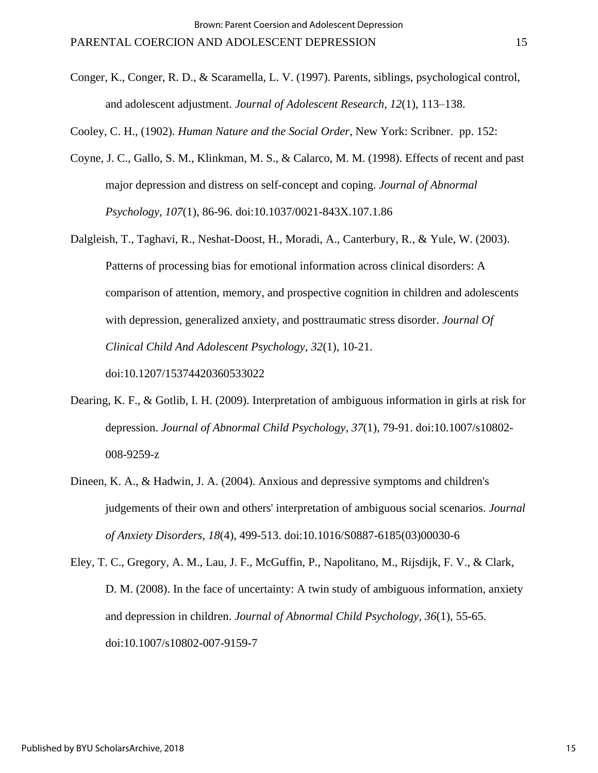Conger, K., Conger, R. D., & Scaramella, L. V. (1997). Parents, siblings, psychological control, and adolescent adjustment. *Journal of Adolescent Research, 12*(1), 113–138.

Cooley, C. H., (1902). *Human Nature and the Social Order*, New York: Scribner. pp. 152:

- Coyne, J. C., Gallo, S. M., Klinkman, M. S., & Calarco, M. M. (1998). Effects of recent and past major depression and distress on self-concept and coping. *Journal of Abnormal Psychology*, *107*(1), 86-96. doi:10.1037/0021-843X.107.1.86
- Dalgleish, T., Taghavi, R., Neshat-Doost, H., Moradi, A., Canterbury, R., & Yule, W. (2003). Patterns of processing bias for emotional information across clinical disorders: A comparison of attention, memory, and prospective cognition in children and adolescents with depression, generalized anxiety, and posttraumatic stress disorder. *Journal Of Clinical Child And Adolescent Psychology*, *32*(1), 10-21.

doi:10.1207/15374420360533022

- Dearing, K. F., & Gotlib, I. H. (2009). Interpretation of ambiguous information in girls at risk for depression. *Journal of Abnormal Child Psychology*, *37*(1), 79-91. doi:10.1007/s10802- 008-9259-z
- Dineen, K. A., & Hadwin, J. A. (2004). Anxious and depressive symptoms and children's judgements of their own and others' interpretation of ambiguous social scenarios. *Journal of Anxiety Disorders*, *18*(4), 499-513. doi:10.1016/S0887-6185(03)00030-6

Eley, T. C., Gregory, A. M., Lau, J. F., McGuffin, P., Napolitano, M., Rijsdijk, F. V., & Clark, D. M. (2008). In the face of uncertainty: A twin study of ambiguous information, anxiety and depression in children. *Journal of Abnormal Child Psychology, 36*(1), 55-65. doi:10.1007/s10802-007-9159-7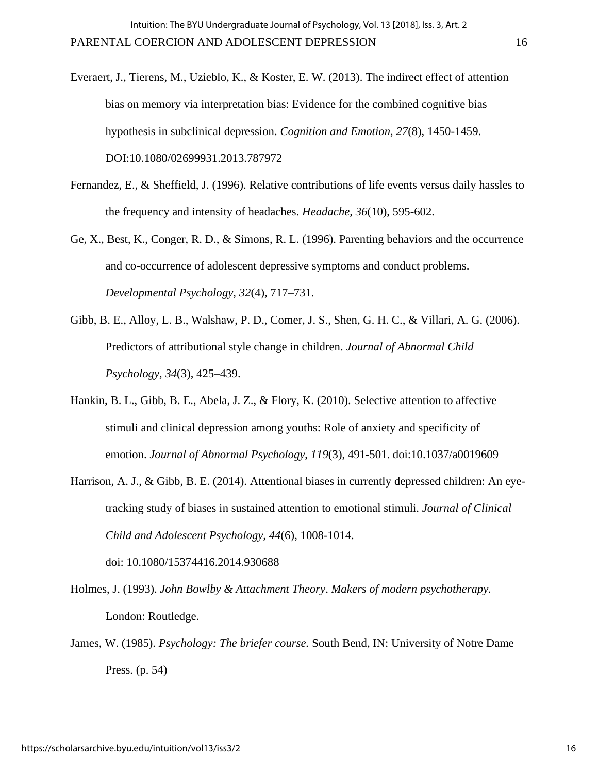Everaert, J., Tierens, M., Uzieblo, K., & Koster, E. W. (2013). The indirect effect of attention bias on memory via interpretation bias: Evidence for the combined cognitive bias hypothesis in subclinical depression. *Cognition and Emotion*, *27*(8), 1450-1459. DOI:10.1080/02699931.2013.787972

- Fernandez, E., & Sheffield, J. (1996). Relative contributions of life events versus daily hassles to the frequency and intensity of headaches. *Headache, 36*(10), 595-602.
- Ge, X., Best, K., Conger, R. D., & Simons, R. L. (1996). Parenting behaviors and the occurrence and co-occurrence of adolescent depressive symptoms and conduct problems. *Developmental Psychology, 32*(4)*,* 717–731.
- Gibb, B. E., Alloy, L. B., Walshaw, P. D., Comer, J. S., Shen, G. H. C., & Villari, A. G. (2006). Predictors of attributional style change in children. *Journal of Abnormal Child Psychology, 34*(3), 425–439.
- Hankin, B. L., Gibb, B. E., Abela, J. Z., & Flory, K. (2010). Selective attention to affective stimuli and clinical depression among youths: Role of anxiety and specificity of emotion. *Journal of Abnormal Psychology*, *119*(3), 491-501. doi:10.1037/a0019609
- Harrison, A. J., & Gibb, B. E. (2014). Attentional biases in currently depressed children: An eyetracking study of biases in sustained attention to emotional stimuli. *Journal of Clinical Child and Adolescent Psychology, 44*(6), 1008-1014.

Holmes, J. (1993). *John Bowlby & Attachment Theory*. *Makers of modern psychotherapy.*  London: Routledge.

doi: 10.1080/15374416.2014.930688

James, W. (1985). *Psychology: The briefer course.* South Bend, IN: University of Notre Dame Press. (p. 54)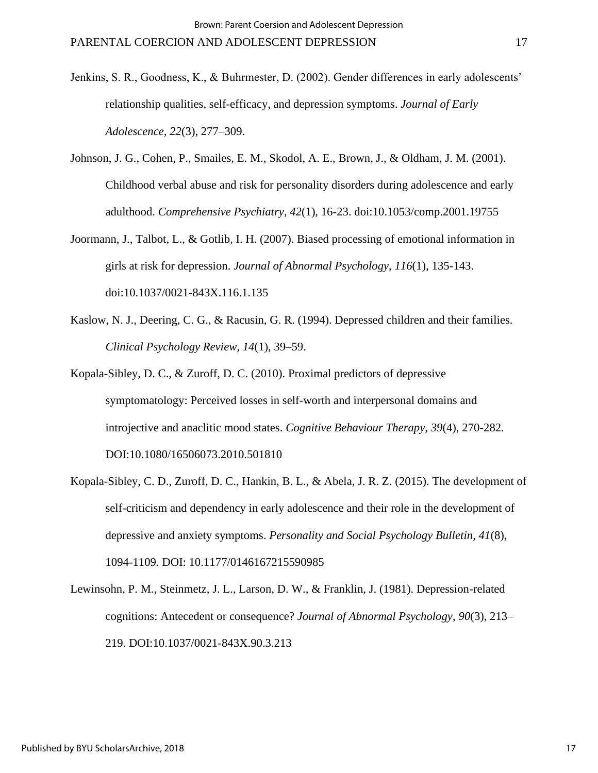- Jenkins, S. R., Goodness, K., & Buhrmester, D. (2002). Gender differences in early adolescents' relationship qualities, self-efficacy, and depression symptoms. *Journal of Early Adolescence, 22*(3), 277–309.
- Johnson, J. G., Cohen, P., Smailes, E. M., Skodol, A. E., Brown, J., & Oldham, J. M. (2001). Childhood verbal abuse and risk for personality disorders during adolescence and early adulthood. *Comprehensive Psychiatry*, *42*(1), 16-23. doi:10.1053/comp.2001.19755
- Joormann, J., Talbot, L., & Gotlib, I. H. (2007). Biased processing of emotional information in girls at risk for depression. *Journal of Abnormal Psychology*, *116*(1), 135-143. doi:10.1037/0021-843X.116.1.135
- Kaslow, N. J., Deering, C. G., & Racusin, G. R. (1994). Depressed children and their families. *Clinical Psychology Review, 14*(1), 39–59.
- Kopala-Sibley, D. C., & Zuroff, D. C. (2010). Proximal predictors of depressive symptomatology: Perceived losses in self-worth and interpersonal domains and introjective and anaclitic mood states. *Cognitive Behaviour Therapy*, *39*(4), 270-282. DOI:10.1080/16506073.2010.501810
- Kopala-Sibley, C. D., Zuroff, D. C., Hankin, B. L., & Abela, J. R. Z. (2015). The development of self-criticism and dependency in early adolescence and their role in the development of depressive and anxiety symptoms. *Personality and Social Psychology Bulletin, 41*(8), 1094-1109. DOI: 10.1177/0146167215590985
- Lewinsohn, P. M., Steinmetz, J. L., Larson, D. W., & Franklin, J. (1981). Depression-related cognitions: Antecedent or consequence? *Journal of Abnormal Psychology*, *90*(3), 213– 219. DOI:10.1037/0021-843X.90.3.213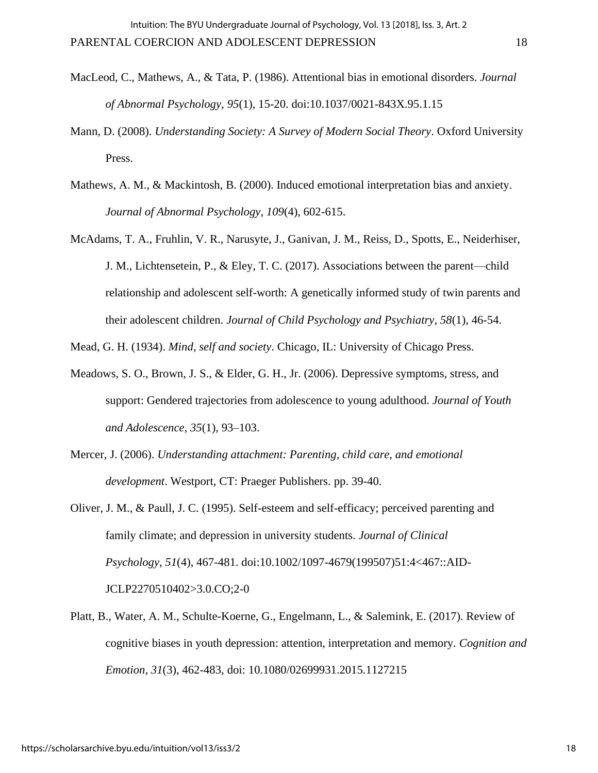- MacLeod, C., Mathews, A., & Tata, P. (1986). Attentional bias in emotional disorders. *Journal of Abnormal Psychology*, *95*(1), 15-20. doi:10.1037/0021-843X.95.1.15
- Mann, D. (2008). *Understanding Society: A Survey of Modern Social Theory*. Oxford University Press.
- Mathews, A. M., & Mackintosh, B. (2000). Induced emotional interpretation bias and anxiety. *Journal of Abnormal Psychology, 109*(4), 602-615.
- McAdams, T. A., Fruhlin, V. R., Narusyte, J., Ganivan, J. M., Reiss, D., Spotts, E., Neiderhiser, J. M., Lichtensetein, P., & Eley, T. C. (2017). Associations between the parent—child relationship and adolescent self-worth: A genetically informed study of twin parents and their adolescent children. *Journal of Child Psychology and Psychiatry, 58*(1), 46-54.

Mead, G. H. (1934). *Mind, self and society*. Chicago, IL: University of Chicago Press.

- Meadows, S. O., Brown, J. S., & Elder, G. H., Jr. (2006). Depressive symptoms, stress, and support: Gendered trajectories from adolescence to young adulthood. *Journal of Youth and Adolescence, 35*(1), 93–103.
- Mercer, J. (2006). *Understanding attachment: Parenting, child care, and emotional development*. Westport, CT: Praeger Publishers. pp. 39-40.
- Oliver, J. M., & Paull, J. C. (1995). Self-esteem and self-efficacy; perceived parenting and family climate; and depression in university students. *Journal of Clinical Psychology*, *51*(4), 467-481. doi:10.1002/1097-4679(199507)51:4<467::AID-JCLP2270510402>3.0.CO;2-0
- Platt, B., Water, A. M., Schulte-Koerne, G., Engelmann, L., & Salemink, E. (2017). Review of cognitive biases in youth depression: attention, interpretation and memory. *Cognition and Emotion, 31*(3), 462-483, doi: 10.1080/02699931.2015.1127215